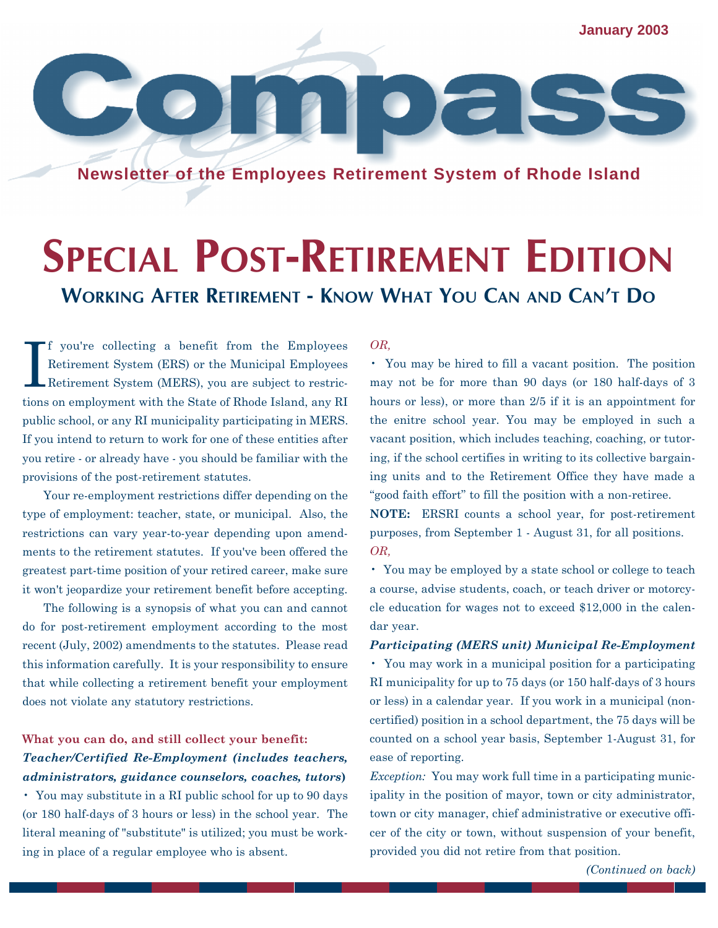**January 2003**

**Newsletter of the Employees Retirement System of Rhode Island**

# **SPECIAL POST-RETIREMENT EDITION WORKING AFTER RETIREMENT - KNOW WHAT YOU CAN AND CAN'T DO**

I f you're collecting a benefit from the Employees Retirement System (ERS) or the Municipal Employees Retirement System (MERS), you are subject to restrictions on employment with the State of Rhode Island, any RI public school, or any RI municipality participating in MERS. If you intend to return to work for one of these entities after you retire - or already have - you should be familiar with the provisions of the post-retirement statutes.

Your re-employment restrictions differ depending on the type of employment: teacher, state, or municipal. Also, the restrictions can vary year-to-year depending upon amendments to the retirement statutes. If you've been offered the greatest part-time position of your retired career, make sure it won't jeopardize your retirement benefit before accepting.

The following is a synopsis of what you can and cannot do for post-retirement employment according to the most recent (July, 2002) amendments to the statutes. Please read this information carefully. It is your responsibility to ensure that while collecting a retirement benefit your employment does not violate any statutory restrictions.

### **What you can do, and still collect your benefit:** *Teacher/Certified Re-Employment (includes teachers, administrators, guidance counselors, coaches, tutors***)**

• You may substitute in a RI public school for up to 90 days (or 180 half-days of 3 hours or less) in the school year. The literal meaning of "substitute" is utilized; you must be working in place of a regular employee who is absent.

#### *OR,*

• You may be hired to fill a vacant position. The position may not be for more than 90 days (or 180 half-days of 3 hours or less), or more than 2/5 if it is an appointment for the enitre school year. You may be employed in such a vacant position, which includes teaching, coaching, or tutoring, if the school certifies in writing to its collective bargaining units and to the Retirement Office they have made a "good faith effort" to fill the position with a non-retiree.

**NOTE:** ERSRI counts a school year, for post-retirement purposes, from September 1 - August 31, for all positions. *OR,* 

• You may be employed by a state school or college to teach a course, advise students, coach, or teach driver or motorcycle education for wages not to exceed \$12,000 in the calendar year.

#### *Participating (MERS unit) Municipal Re-Employment*

• You may work in a municipal position for a participating RI municipality for up to 75 days (or 150 half-days of 3 hours or less) in a calendar year. If you work in a municipal (noncertified) position in a school department, the 75 days will be counted on a school year basis, September 1-August 31, for ease of reporting.

*Exception:* You may work full time in a participating municipality in the position of mayor, town or city administrator, town or city manager, chief administrative or executive officer of the city or town, without suspension of your benefit, provided you did not retire from that position.